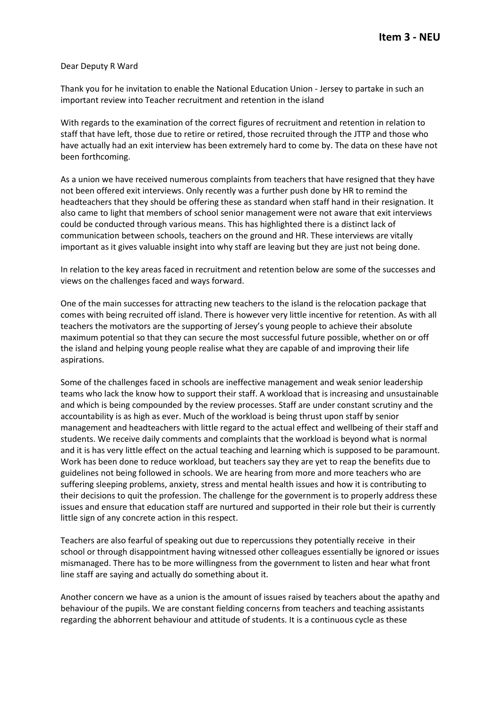## Dear Deputy R Ward

Thank you for he invitation to enable the National Education Union - Jersey to partake in such an important review into Teacher recruitment and retention in the island

With regards to the examination of the correct figures of recruitment and retention in relation to staff that have left, those due to retire or retired, those recruited through the JTTP and those who have actually had an exit interview has been extremely hard to come by. The data on these have not been forthcoming.

As a union we have received numerous complaints from teachers that have resigned that they have not been offered exit interviews. Only recently was a further push done by HR to remind the headteachers that they should be offering these as standard when staff hand in their resignation. It also came to light that members of school senior management were not aware that exit interviews could be conducted through various means. This has highlighted there is a distinct lack of communication between schools, teachers on the ground and HR. These interviews are vitally important as it gives valuable insight into why staff are leaving but they are just not being done.

In relation to the key areas faced in recruitment and retention below are some of the successes and views on the challenges faced and ways forward.

One of the main successes for attracting new teachers to the island is the relocation package that comes with being recruited off island. There is however very little incentive for retention. As with all teachers the motivators are the supporting of Jersey's young people to achieve their absolute maximum potential so that they can secure the most successful future possible, whether on or off the island and helping young people realise what they are capable of and improving their life aspirations.

Some of the challenges faced in schools are ineffective management and weak senior leadership teams who lack the know how to support their staff. A workload that is increasing and unsustainable and which is being compounded by the review processes. Staff are under constant scrutiny and the accountability is as high as ever. Much of the workload is being thrust upon staff by senior management and headteachers with little regard to the actual effect and wellbeing of their staff and students. We receive daily comments and complaints that the workload is beyond what is normal and it is has very little effect on the actual teaching and learning which is supposed to be paramount. Work has been done to reduce workload, but teachers say they are yet to reap the benefits due to guidelines not being followed in schools. We are hearing from more and more teachers who are suffering sleeping problems, anxiety, stress and mental health issues and how it is contributing to their decisions to quit the profession. The challenge for the government is to properly address these issues and ensure that education staff are nurtured and supported in their role but their is currently little sign of any concrete action in this respect.

Teachers are also fearful of speaking out due to repercussions they potentially receive in their school or through disappointment having witnessed other colleagues essentially be ignored or issues mismanaged. There has to be more willingness from the government to listen and hear what front line staff are saying and actually do something about it.

Another concern we have as a union is the amount of issues raised by teachers about the apathy and behaviour of the pupils. We are constant fielding concerns from teachers and teaching assistants regarding the abhorrent behaviour and attitude of students. It is a continuous cycle as these